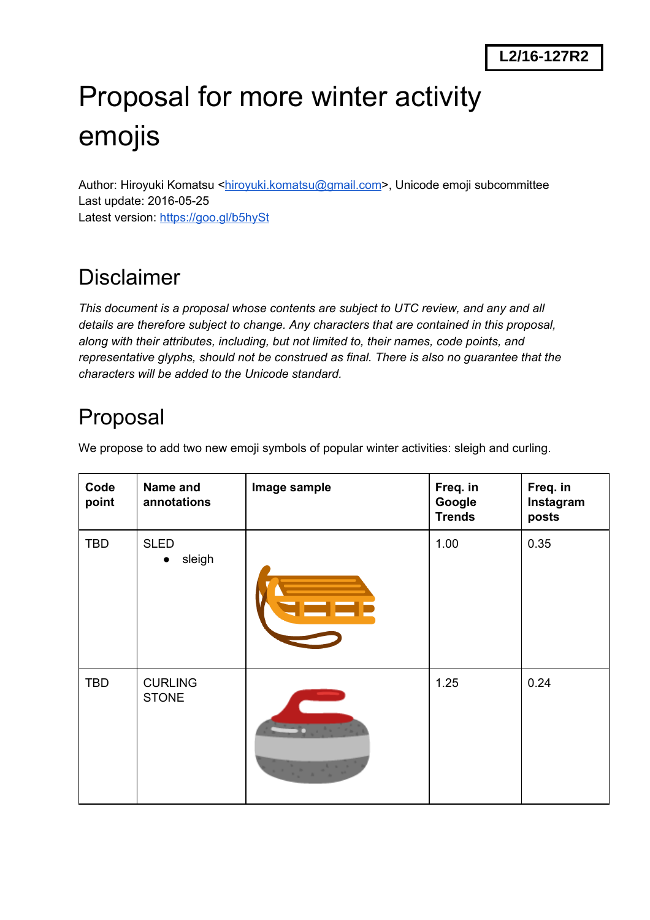# Proposal for more winter activity emojis

Author: Hiroyuki Komatsu [<hiroyuki.komatsu@gmail.com>](mailto:hiroyuki.komatsu@gmail.com), Unicode emoji subcommittee Last update: 2016-05-25 Latest version: <https://goo.gl/b5hySt>

# Disclaimer

*This document is a proposal whose contents are subject to UTC review, and any and all details are therefore subject to change. Any characters that are contained in this proposal, along with their attributes, including, but not limited to, their names, code points, and representative glyphs, should not be construed as final. There is also no guarantee that the characters will be added to the Unicode standard.*

# Proposal

We propose to add two new emoji symbols of popular winter activities: sleigh and curling.

| Code<br>point | Name and<br>annotations            | Image sample                                                                          | Freq. in<br>Google<br><b>Trends</b> | Freq. in<br>Instagram<br>posts |
|---------------|------------------------------------|---------------------------------------------------------------------------------------|-------------------------------------|--------------------------------|
| <b>TBD</b>    | <b>SLED</b><br>sleigh<br>$\bullet$ | <u> Sjonjeg e</u>                                                                     | 1.00                                | 0.35                           |
| <b>TBD</b>    | <b>CURLING</b><br><b>STONE</b>     | $\frac{1}{2}\sum_{i=1}^n\frac{1}{2}\left(\frac{1}{2}\sum_{i=1}^n\frac{1}{2}\right)^2$ | 1.25                                | 0.24                           |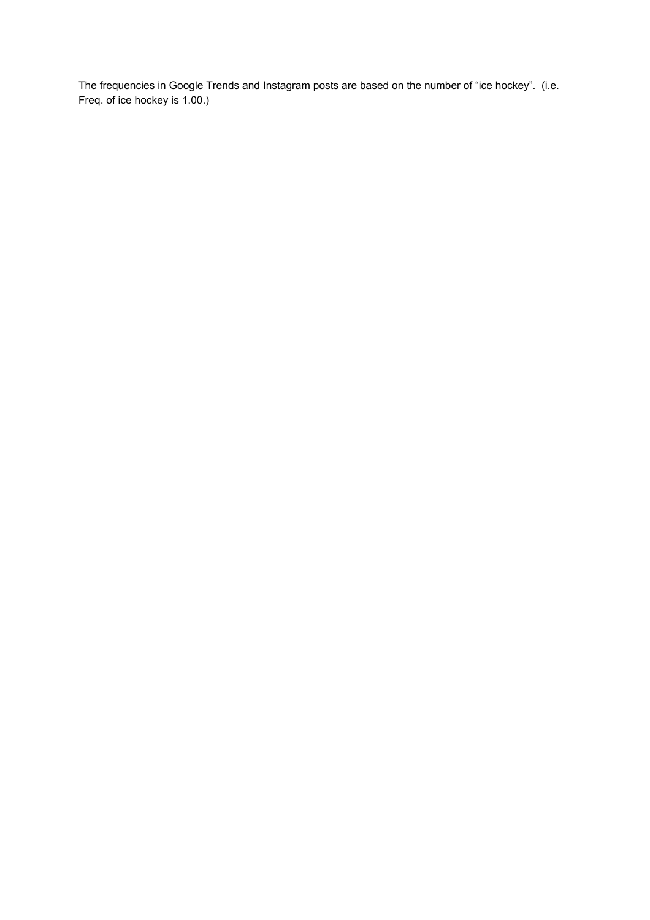The frequencies in Google Trends and Instagram posts are based on the number of "ice hockey". (i.e. Freq. of ice hockey is 1.00.)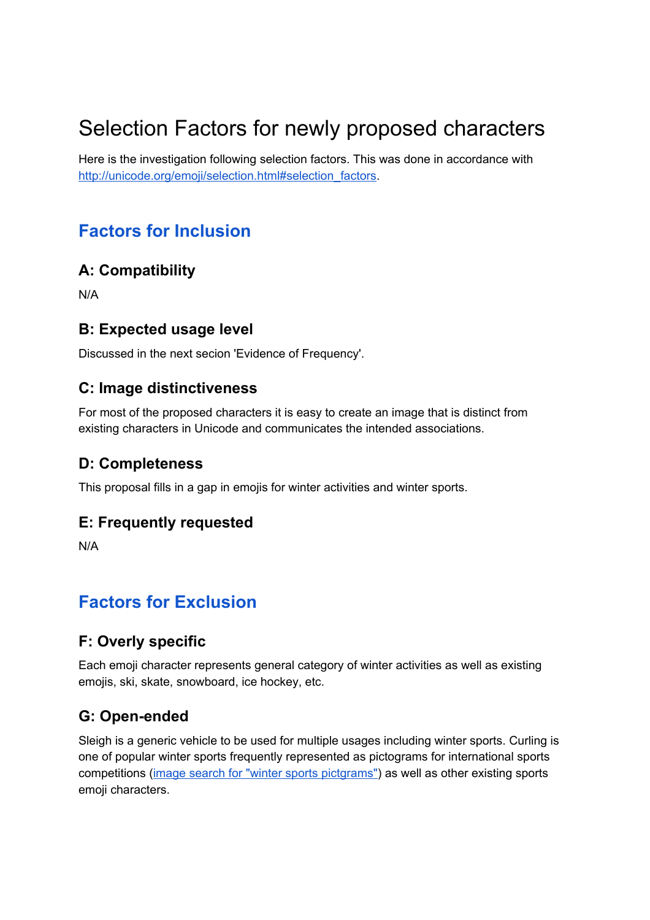# Selection Factors for newly proposed characters

Here is the investigation following selection factors. This was done in accordance with [http://unicode.org/emoji/selection.html#selection\\_factors.](http://unicode.org/emoji/selection.html#selection_factors)

# **Factors for Inclusion**

### **A: Compatibility**

N/A

### **B: Expected usage level**

Discussed in the next secion 'Evidence of Frequency'.

### **C: Image distinctiveness**

For most of the proposed characters it is easy to create an image that is distinct from existing characters in Unicode and communicates the intended associations.

### **D: Completeness**

This proposal fills in a gap in emojis for winter activities and winter sports.

### **E: Frequently requested**

N/A

# **Factors for Exclusion**

### **F: Overly specific**

Each emoji character represents general category of winter activities as well as existing emojis, ski, skate, snowboard, ice hockey, etc.

### **G: Open-ended**

Sleigh is a generic vehicle to be used for multiple usages including winter sports. Curling is one of popular winter sports frequently represented as pictograms for international sports competitions (image search for "winter sports [pictgrams"\)](https://www.google.co.jp/search?q=winter+olympic+pictograms&tbm=isch) as well as other existing sports emoji characters.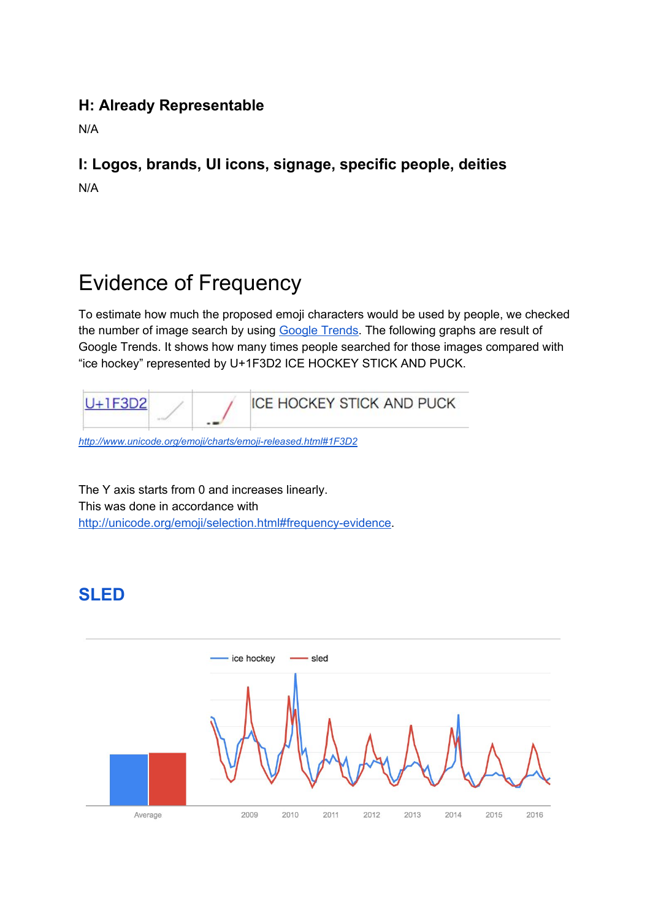### **H: Already Representable**

N/A

### **I: Logos, brands, UI icons, signage, specific people, deities** N/A

# Evidence of Frequency

To estimate how much the proposed emoji characters would be used by people, we checked the number of image search by using [Google](https://www.google.com/trends/) Trends. The following graphs are result of Google Trends. It shows how many times people searched for those images compared with "ice hockey" represented by U+1F3D2 ICE HOCKEY STICK AND PUCK.



http://www.unicode.org/emoji/charts/emoji-released.html#1F3D2

The Y axis starts from 0 and increases linearly. This was done in accordance with http://unicode.org/emoji/selection.html#frequency-evidence.

# **SLED**

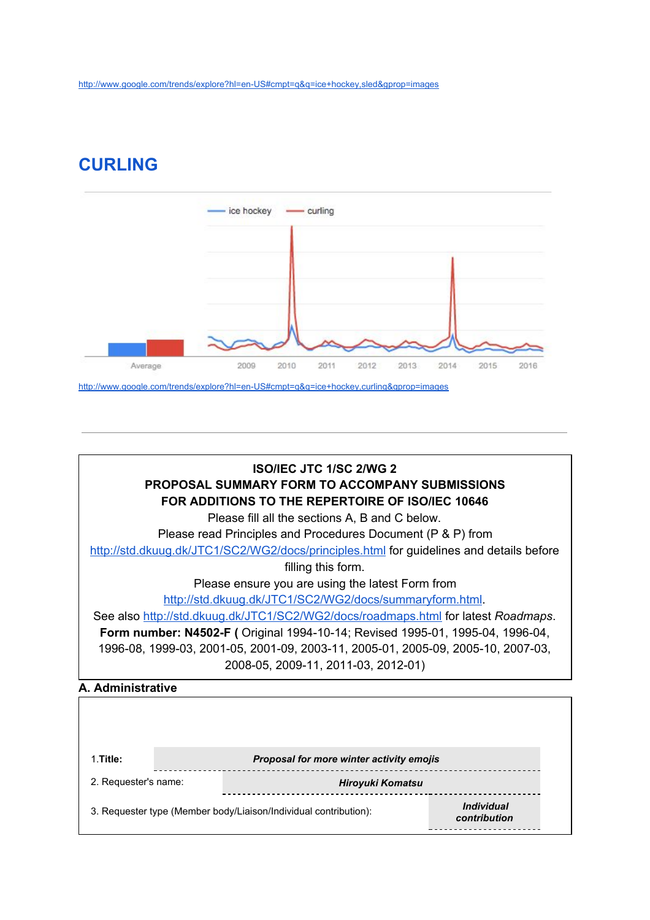## **CURLING**





| 1.Title:             |  | Proposal for more winter activity emojis                         |                                   |
|----------------------|--|------------------------------------------------------------------|-----------------------------------|
| 2. Requester's name: |  | <b>Hiroyuki Komatsu</b>                                          |                                   |
|                      |  | 3. Requester type (Member body/Liaison/Individual contribution): | <b>Individual</b><br>contribution |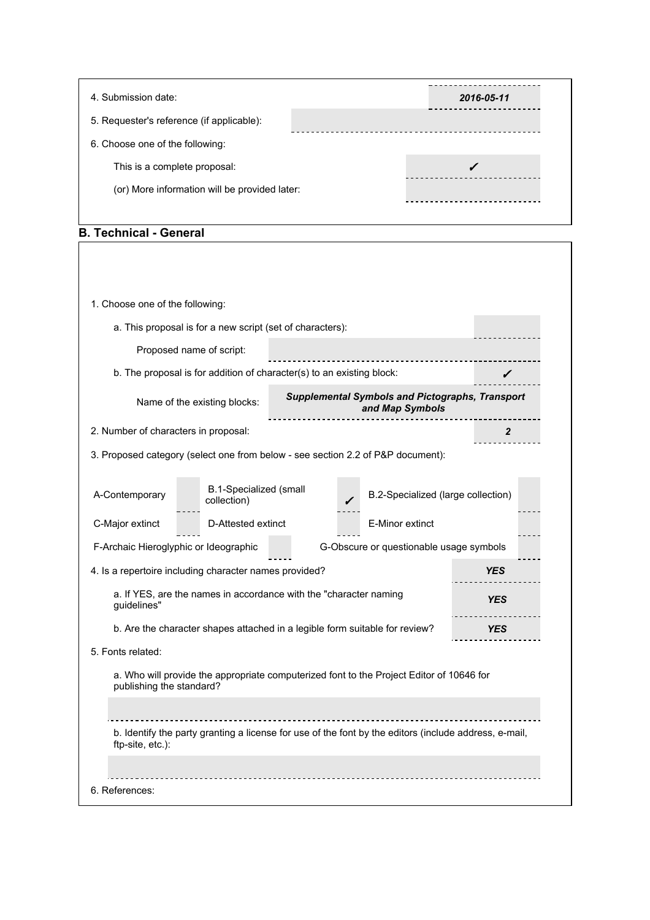| 4. Submission date:                           | 2016-05-11 |
|-----------------------------------------------|------------|
| 5. Requester's reference (if applicable):     |            |
| 6. Choose one of the following:               |            |
| This is a complete proposal:                  |            |
| (or) More information will be provided later: |            |
|                                               |            |

#### **B. Technical General**

| a. This proposal is for a new script (set of characters):<br>Proposed name of script:<br>b. The proposal is for addition of character(s) to an existing block:<br><b>Supplemental Symbols and Pictographs, Transport</b><br>Name of the existing blocks:<br>and Map Symbols<br>2. Number of characters in proposal:<br>$\mathbf{2}$<br>3. Proposed category (select one from below - see section 2.2 of P&P document):<br>B.1-Specialized (small<br>B.2-Specialized (large collection)<br>collection)<br>D-Attested extinct<br>E-Minor extinct<br>F-Archaic Hieroglyphic or Ideographic<br>G-Obscure or questionable usage symbols<br>4. Is a repertoire including character names provided?<br><b>YES</b><br>a. If YES, are the names in accordance with the "character naming<br><b>YES</b><br>guidelines"<br>b. Are the character shapes attached in a legible form suitable for review?<br><b>YES</b><br>a. Who will provide the appropriate computerized font to the Project Editor of 10646 for<br>publishing the standard?<br>b. Identify the party granting a license for use of the font by the editors (include address, e-mail,<br>ftp-site, etc.): |                                 |  |  |
|----------------------------------------------------------------------------------------------------------------------------------------------------------------------------------------------------------------------------------------------------------------------------------------------------------------------------------------------------------------------------------------------------------------------------------------------------------------------------------------------------------------------------------------------------------------------------------------------------------------------------------------------------------------------------------------------------------------------------------------------------------------------------------------------------------------------------------------------------------------------------------------------------------------------------------------------------------------------------------------------------------------------------------------------------------------------------------------------------------------------------------------------------------------|---------------------------------|--|--|
|                                                                                                                                                                                                                                                                                                                                                                                                                                                                                                                                                                                                                                                                                                                                                                                                                                                                                                                                                                                                                                                                                                                                                                | 1. Choose one of the following: |  |  |
|                                                                                                                                                                                                                                                                                                                                                                                                                                                                                                                                                                                                                                                                                                                                                                                                                                                                                                                                                                                                                                                                                                                                                                |                                 |  |  |
|                                                                                                                                                                                                                                                                                                                                                                                                                                                                                                                                                                                                                                                                                                                                                                                                                                                                                                                                                                                                                                                                                                                                                                |                                 |  |  |
|                                                                                                                                                                                                                                                                                                                                                                                                                                                                                                                                                                                                                                                                                                                                                                                                                                                                                                                                                                                                                                                                                                                                                                |                                 |  |  |
|                                                                                                                                                                                                                                                                                                                                                                                                                                                                                                                                                                                                                                                                                                                                                                                                                                                                                                                                                                                                                                                                                                                                                                |                                 |  |  |
|                                                                                                                                                                                                                                                                                                                                                                                                                                                                                                                                                                                                                                                                                                                                                                                                                                                                                                                                                                                                                                                                                                                                                                |                                 |  |  |
|                                                                                                                                                                                                                                                                                                                                                                                                                                                                                                                                                                                                                                                                                                                                                                                                                                                                                                                                                                                                                                                                                                                                                                |                                 |  |  |
|                                                                                                                                                                                                                                                                                                                                                                                                                                                                                                                                                                                                                                                                                                                                                                                                                                                                                                                                                                                                                                                                                                                                                                | A-Contemporary                  |  |  |
|                                                                                                                                                                                                                                                                                                                                                                                                                                                                                                                                                                                                                                                                                                                                                                                                                                                                                                                                                                                                                                                                                                                                                                | C-Major extinct                 |  |  |
|                                                                                                                                                                                                                                                                                                                                                                                                                                                                                                                                                                                                                                                                                                                                                                                                                                                                                                                                                                                                                                                                                                                                                                |                                 |  |  |
|                                                                                                                                                                                                                                                                                                                                                                                                                                                                                                                                                                                                                                                                                                                                                                                                                                                                                                                                                                                                                                                                                                                                                                |                                 |  |  |
|                                                                                                                                                                                                                                                                                                                                                                                                                                                                                                                                                                                                                                                                                                                                                                                                                                                                                                                                                                                                                                                                                                                                                                |                                 |  |  |
|                                                                                                                                                                                                                                                                                                                                                                                                                                                                                                                                                                                                                                                                                                                                                                                                                                                                                                                                                                                                                                                                                                                                                                |                                 |  |  |
|                                                                                                                                                                                                                                                                                                                                                                                                                                                                                                                                                                                                                                                                                                                                                                                                                                                                                                                                                                                                                                                                                                                                                                | 5. Fonts related:               |  |  |
|                                                                                                                                                                                                                                                                                                                                                                                                                                                                                                                                                                                                                                                                                                                                                                                                                                                                                                                                                                                                                                                                                                                                                                |                                 |  |  |
|                                                                                                                                                                                                                                                                                                                                                                                                                                                                                                                                                                                                                                                                                                                                                                                                                                                                                                                                                                                                                                                                                                                                                                |                                 |  |  |
|                                                                                                                                                                                                                                                                                                                                                                                                                                                                                                                                                                                                                                                                                                                                                                                                                                                                                                                                                                                                                                                                                                                                                                |                                 |  |  |
|                                                                                                                                                                                                                                                                                                                                                                                                                                                                                                                                                                                                                                                                                                                                                                                                                                                                                                                                                                                                                                                                                                                                                                |                                 |  |  |
|                                                                                                                                                                                                                                                                                                                                                                                                                                                                                                                                                                                                                                                                                                                                                                                                                                                                                                                                                                                                                                                                                                                                                                | 6. References:                  |  |  |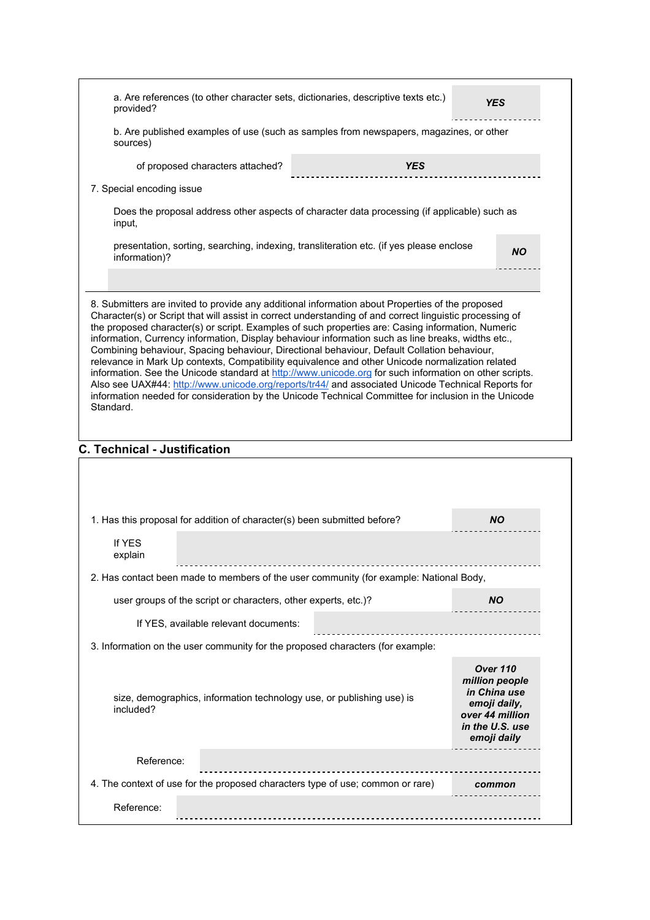| provided?                           |                                                                | a. Are references (to other character sets, dictionaries, descriptive texts etc.)                                                                                                                                                                                                                                                                                                                                        | YES                                                               |
|-------------------------------------|----------------------------------------------------------------|--------------------------------------------------------------------------------------------------------------------------------------------------------------------------------------------------------------------------------------------------------------------------------------------------------------------------------------------------------------------------------------------------------------------------|-------------------------------------------------------------------|
| sources)                            |                                                                | b. Are published examples of use (such as samples from newspapers, magazines, or other                                                                                                                                                                                                                                                                                                                                   |                                                                   |
|                                     | of proposed characters attached?                               | <b>YES</b>                                                                                                                                                                                                                                                                                                                                                                                                               |                                                                   |
| 7. Special encoding issue           |                                                                |                                                                                                                                                                                                                                                                                                                                                                                                                          |                                                                   |
| input,                              |                                                                | Does the proposal address other aspects of character data processing (if applicable) such as                                                                                                                                                                                                                                                                                                                             |                                                                   |
| information)?                       |                                                                | presentation, sorting, searching, indexing, transliteration etc. (if yes please enclose                                                                                                                                                                                                                                                                                                                                  | ΝO                                                                |
|                                     |                                                                |                                                                                                                                                                                                                                                                                                                                                                                                                          |                                                                   |
| Standard.                           |                                                                | relevance in Mark Up contexts, Compatibility equivalence and other Unicode normalization related<br>information. See the Unicode standard at http://www.unicode.org for such information on other scripts.<br>Also see UAX#44: http://www.unicode.org/reports/tr44/ and associated Unicode Technical Reports for<br>information needed for consideration by the Unicode Technical Committee for inclusion in the Unicode |                                                                   |
| <b>C. Technical - Justification</b> |                                                                |                                                                                                                                                                                                                                                                                                                                                                                                                          |                                                                   |
|                                     |                                                                |                                                                                                                                                                                                                                                                                                                                                                                                                          |                                                                   |
|                                     |                                                                | 1. Has this proposal for addition of character(s) been submitted before?                                                                                                                                                                                                                                                                                                                                                 | <b>NO</b>                                                         |
| If YES<br>explain                   |                                                                |                                                                                                                                                                                                                                                                                                                                                                                                                          |                                                                   |
|                                     |                                                                | 2. Has contact been made to members of the user community (for example: National Body,                                                                                                                                                                                                                                                                                                                                   |                                                                   |
|                                     | user groups of the script or characters, other experts, etc.)? |                                                                                                                                                                                                                                                                                                                                                                                                                          | <b>NO</b>                                                         |
|                                     | If YES, available relevant documents:                          |                                                                                                                                                                                                                                                                                                                                                                                                                          |                                                                   |
|                                     |                                                                | 3. Information on the user community for the proposed characters (for example:                                                                                                                                                                                                                                                                                                                                           |                                                                   |
|                                     |                                                                | size, demographics, information technology use, or publishing use) is                                                                                                                                                                                                                                                                                                                                                    | <b>Over 110</b><br>million people<br>in China use                 |
| included?                           |                                                                |                                                                                                                                                                                                                                                                                                                                                                                                                          | emoji daily,<br>over 44 million<br>in the U.S. use<br>emoji daily |
| Reference:                          |                                                                |                                                                                                                                                                                                                                                                                                                                                                                                                          |                                                                   |
|                                     |                                                                | 4. The context of use for the proposed characters type of use; common or rare)                                                                                                                                                                                                                                                                                                                                           | common                                                            |
| Reference:                          |                                                                |                                                                                                                                                                                                                                                                                                                                                                                                                          |                                                                   |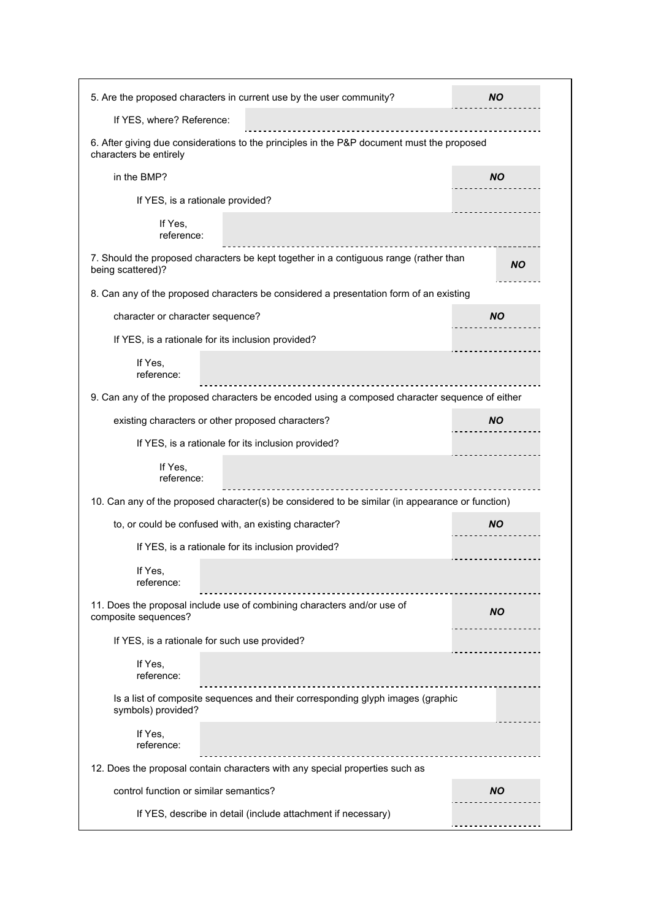|                                                    | 5. Are the proposed characters in current use by the user community?                             | NO.       |
|----------------------------------------------------|--------------------------------------------------------------------------------------------------|-----------|
| If YES, where? Reference:                          |                                                                                                  |           |
| characters be entirely                             | 6. After giving due considerations to the principles in the P&P document must the proposed       |           |
| in the BMP?                                        |                                                                                                  | <b>NO</b> |
| If YES, is a rationale provided?                   |                                                                                                  |           |
| If Yes,<br>reference:                              |                                                                                                  |           |
| being scattered)?                                  | 7. Should the proposed characters be kept together in a contiguous range (rather than            | ΝO        |
|                                                    | 8. Can any of the proposed characters be considered a presentation form of an existing           |           |
| character or character sequence?                   |                                                                                                  | <b>NO</b> |
| If YES, is a rationale for its inclusion provided? |                                                                                                  |           |
| If Yes.<br>reference:                              |                                                                                                  |           |
|                                                    | 9. Can any of the proposed characters be encoded using a composed character sequence of either   |           |
| existing characters or other proposed characters?  |                                                                                                  | NO.       |
|                                                    | If YES, is a rationale for its inclusion provided?                                               |           |
| If Yes,<br>reference:                              |                                                                                                  |           |
|                                                    | 10. Can any of the proposed character(s) be considered to be similar (in appearance or function) |           |
|                                                    | to, or could be confused with, an existing character?                                            | NO.       |
|                                                    | If YES, is a rationale for its inclusion provided?                                               |           |
| If Yes,<br>reference:                              |                                                                                                  |           |
| composite sequences?                               | 11. Does the proposal include use of combining characters and/or use of                          | <b>NO</b> |
| If YES, is a rationale for such use provided?      |                                                                                                  |           |
| If Yes,<br>reference:                              |                                                                                                  |           |
| symbols) provided?                                 | Is a list of composite sequences and their corresponding glyph images (graphic                   |           |
| If Yes,<br>reference:                              |                                                                                                  |           |
|                                                    | 12. Does the proposal contain characters with any special properties such as                     |           |
| control function or similar semantics?             |                                                                                                  | <b>NO</b> |
|                                                    | If YES, describe in detail (include attachment if necessary)                                     |           |
|                                                    |                                                                                                  |           |